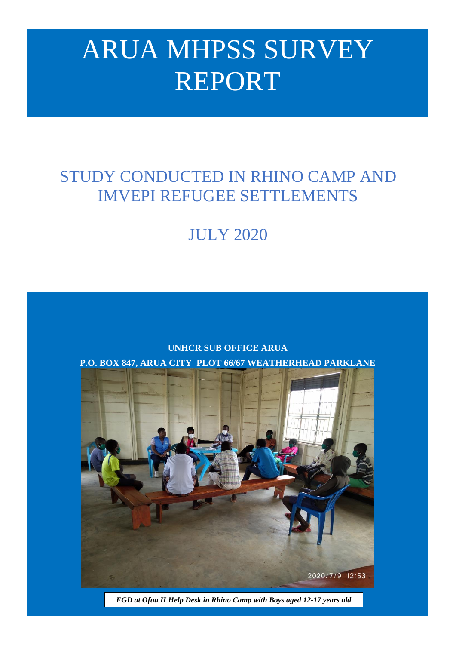# ARUA MHPSS SURVEY REPORT

## STUDY CONDUCTED IN RHINO CAMP AND IMVEPI REFUGEE SETTLEMENTS

## JULY 2020





*FGD at Ofua II Help Desk in Rhino Camp with Boys aged 12-17 years old @Abusa UNHCR*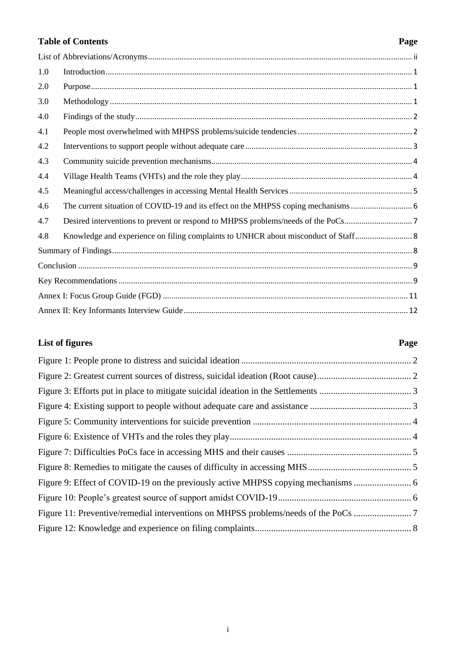### **Table of Contents Page**

| 1.0 |  |  |  |
|-----|--|--|--|
| 2.0 |  |  |  |
| 3.0 |  |  |  |
| 4.0 |  |  |  |
| 4.1 |  |  |  |
| 4.2 |  |  |  |
| 4.3 |  |  |  |
| 4.4 |  |  |  |
| 4.5 |  |  |  |
| 4.6 |  |  |  |
| 4.7 |  |  |  |
| 4.8 |  |  |  |
|     |  |  |  |
|     |  |  |  |
|     |  |  |  |
|     |  |  |  |
|     |  |  |  |
|     |  |  |  |

### **List of figures Page**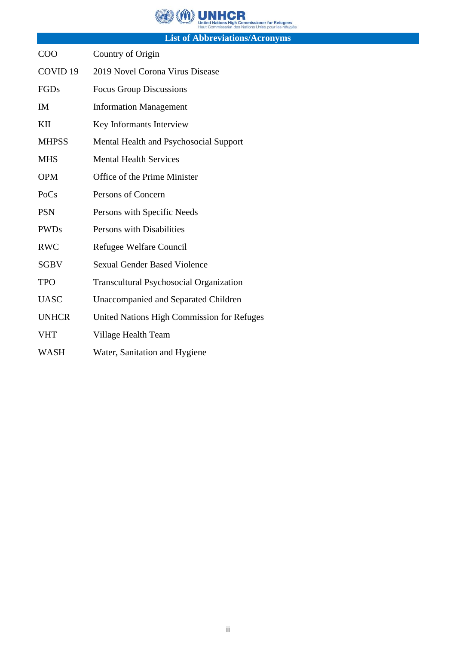**OWN UNHOR** i<mark>ssioner for Refugees</mark><br>ns Unies pour les réfugiés

**List of Abbreviations/Acronyms**

<span id="page-2-0"></span>

| COO                 | Country of Origin                              |
|---------------------|------------------------------------------------|
| COVID <sub>19</sub> | 2019 Novel Corona Virus Disease                |
| FGDs                | <b>Focus Group Discussions</b>                 |
| IM                  | <b>Information Management</b>                  |
| KII                 | Key Informants Interview                       |
| <b>MHPSS</b>        | Mental Health and Psychosocial Support         |
| <b>MHS</b>          | <b>Mental Health Services</b>                  |
| <b>OPM</b>          | Office of the Prime Minister                   |
| PoCs                | Persons of Concern                             |
| <b>PSN</b>          | Persons with Specific Needs                    |
| <b>PWDs</b>         | Persons with Disabilities                      |
| <b>RWC</b>          | Refugee Welfare Council                        |
| <b>SGBV</b>         | <b>Sexual Gender Based Violence</b>            |
| <b>TPO</b>          | <b>Transcultural Psychosocial Organization</b> |
| <b>UASC</b>         | Unaccompanied and Separated Children           |
| <b>UNHCR</b>        | United Nations High Commission for Refuges     |
| <b>VHT</b>          | Village Health Team                            |
| <b>WASH</b>         | Water, Sanitation and Hygiene                  |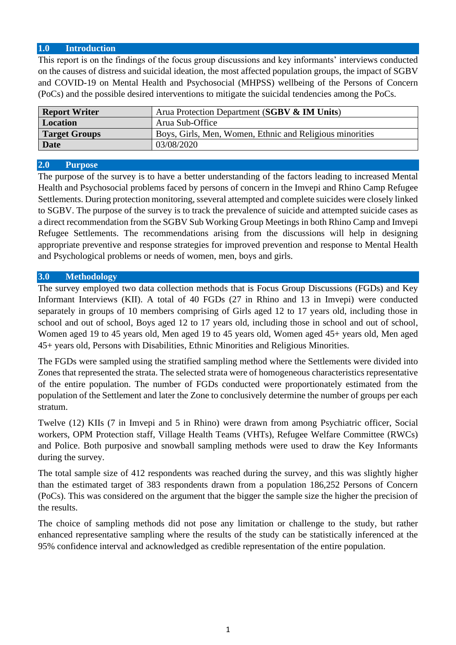#### <span id="page-3-0"></span>**1.0 Introduction**

This report is on the findings of the focus group discussions and key informants' interviews conducted on the causes of distress and suicidal ideation, the most affected population groups, the impact of SGBV and COVID-19 on Mental Health and Psychosocial (MHPSS) wellbeing of the Persons of Concern (PoCs) and the possible desired interventions to mitigate the suicidal tendencies among the PoCs.

| <b>Report Writer</b> | Arua Protection Department (SGBV & IM Units)             |
|----------------------|----------------------------------------------------------|
| Location             | Arua Sub-Office                                          |
| <b>Target Groups</b> | Boys, Girls, Men, Women, Ethnic and Religious minorities |
| <b>Date</b>          | 03/08/2020                                               |

#### <span id="page-3-1"></span>**2.0 Purpose**

The purpose of the survey is to have a better understanding of the factors leading to increased Mental Health and Psychosocial problems faced by persons of concern in the Imvepi and Rhino Camp Refugee Settlements. During protection monitoring, sseveral attempted and complete suicides were closely linked to SGBV. The purpose of the survey is to track the prevalence of suicide and attempted suicide cases as a direct recommendation from the SGBV Sub Working Group Meetings in both Rhino Camp and Imvepi Refugee Settlements. The recommendations arising from the discussions will help in designing appropriate preventive and response strategies for improved prevention and response to Mental Health and Psychological problems or needs of women, men, boys and girls.

#### <span id="page-3-2"></span>**3.0 Methodology**

The survey employed two data collection methods that is Focus Group Discussions (FGDs) and Key Informant Interviews (KII). A total of 40 FGDs (27 in Rhino and 13 in Imvepi) were conducted separately in groups of 10 members comprising of Girls aged 12 to 17 years old, including those in school and out of school, Boys aged 12 to 17 years old, including those in school and out of school, Women aged 19 to 45 years old, Men aged 19 to 45 years old, Women aged 45+ years old, Men aged 45+ years old, Persons with Disabilities, Ethnic Minorities and Religious Minorities.

The FGDs were sampled using the stratified sampling method where the Settlements were divided into Zones that represented the strata. The selected strata were of homogeneous characteristics representative of the entire population. The number of FGDs conducted were proportionately estimated from the population of the Settlement and later the Zone to conclusively determine the number of groups per each stratum.

Twelve (12) KIIs (7 in Imvepi and 5 in Rhino) were drawn from among Psychiatric officer, Social workers, OPM Protection staff, Village Health Teams (VHTs), Refugee Welfare Committee (RWCs) and Police. Both purposive and snowball sampling methods were used to draw the Key Informants during the survey.

The total sample size of 412 respondents was reached during the survey, and this was slightly higher than the estimated target of 383 respondents drawn from a population 186,252 Persons of Concern (PoCs). This was considered on the argument that the bigger the sample size the higher the precision of the results.

The choice of sampling methods did not pose any limitation or challenge to the study, but rather enhanced representative sampling where the results of the study can be statistically inferenced at the 95% confidence interval and acknowledged as credible representation of the entire population.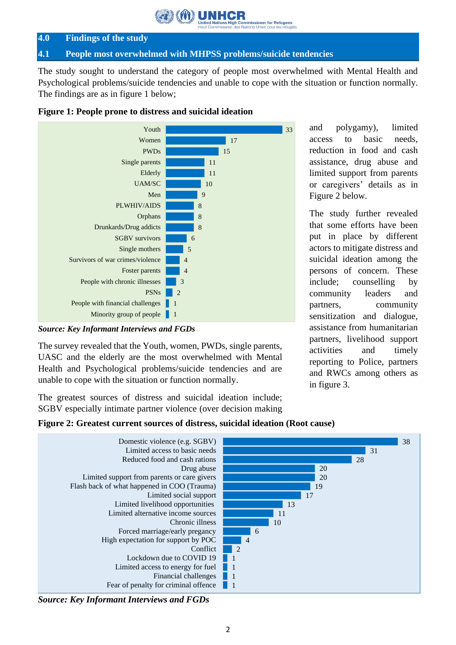**ioner for Refugees**<br>Unies pour les réfugiés

#### <span id="page-4-0"></span>**4.0 Findings of the study**

#### <span id="page-4-1"></span>**4.1 People most overwhelmed with MHPSS problems/suicide tendencies**

The study sought to understand the category of people most overwhelmed with Mental Health and Psychological problems/suicide tendencies and unable to cope with the situation or function normally. The findings are as in figure 1 below;



<span id="page-4-2"></span>

#### *Source: Key Informant Interviews and FGDs*

The survey revealed that the Youth, women, PWDs, single parents, UASC and the elderly are the most overwhelmed with Mental Health and Psychological problems/suicide tendencies and are unable to cope with the situation or function normally.

The greatest sources of distress and suicidal ideation include; SGBV especially intimate partner violence (over decision making and polygamy), limited access to basic needs, reduction in food and cash assistance, drug abuse and limited support from parents or caregivers' details as in Figure 2 below.

The study further revealed that some efforts have been put in place by different actors to mitigate distress and suicidal ideation among the persons of concern. These include; counselling by community leaders and partners, community sensitization and dialogue, assistance from humanitarian partners, livelihood support activities and timely reporting to Police, partners and RWCs among others as in figure 3.

#### <span id="page-4-3"></span>**Figure 2: Greatest current sources of distress, suicidal ideation (Root cause)**



*Source: Key Informant Interviews and FGDs*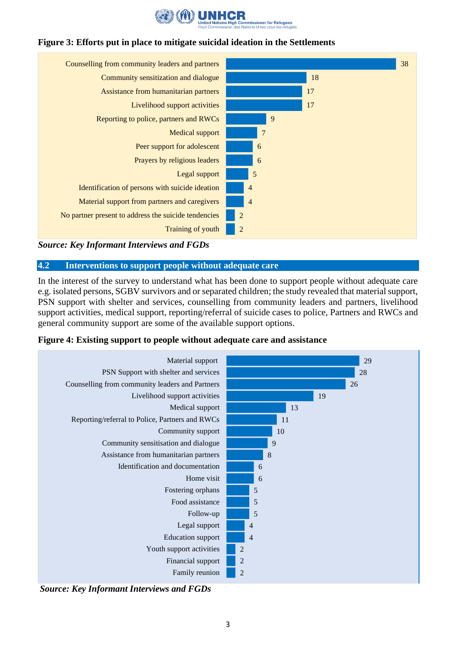

#### <span id="page-5-1"></span>**Figure 3: Efforts put in place to mitigate suicidal ideation in the Settlements**



*Source: Key Informant Interviews and FGDs*

#### <span id="page-5-0"></span>**4.2 Interventions to support people without adequate care**

In the interest of the survey to understand what has been done to support people without adequate care e.g. isolated persons, SGBV survivors and or separated children; the study revealed that material support, PSN support with shelter and services, counselling from community leaders and partners, livelihood support activities, medical support, reporting/referral of suicide cases to police, Partners and RWCs and general community support are some of the available support options.

<span id="page-5-2"></span>



*Source: Key Informant Interviews and FGDs*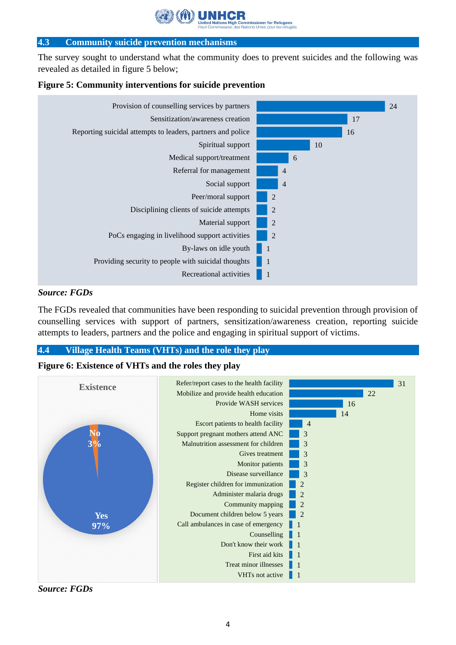ssioner for Refuge

#### <span id="page-6-0"></span>**4.3 Community suicide prevention mechanisms**

The survey sought to understand what the community does to prevent suicides and the following was revealed as detailed in figure 5 below;

<span id="page-6-2"></span>



#### *Source: FGDs*

The FGDs revealed that communities have been responding to suicidal prevention through provision of counselling services with support of partners, sensitization/awareness creation, reporting suicide attempts to leaders, partners and the police and engaging in spiritual support of victims.

#### <span id="page-6-1"></span>**4.4 Village Health Teams (VHTs) and the role they play**

#### <span id="page-6-3"></span>**Figure 6: Existence of VHTs and the roles they play**



*Source: FGDs*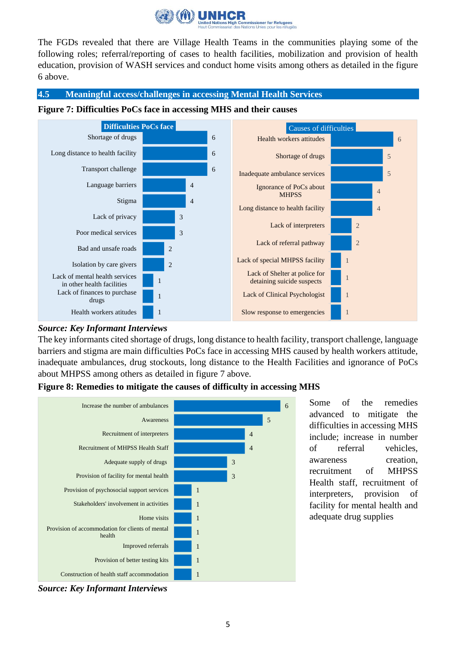

The FGDs revealed that there are Village Health Teams in the communities playing some of the following roles; referral/reporting of cases to health facilities, mobilization and provision of health education, provision of WASH services and conduct home visits among others as detailed in the figure 6 above.

#### <span id="page-7-0"></span>**4.5 Meaningful access/challenges in accessing Mental Health Services**

<span id="page-7-1"></span>



#### *Source: Key Informant Interviews*

The key informants cited shortage of drugs, long distance to health facility, transport challenge, language barriers and stigma are main difficulties PoCs face in accessing MHS caused by health workers attitude, inadequate ambulances, drug stockouts, long distance to the Health Facilities and ignorance of PoCs about MHPSS among others as detailed in figure 7 above.



#### <span id="page-7-2"></span>**Figure 8: Remedies to mitigate the causes of difficulty in accessing MHS**

*Source: Key Informant Interviews* 

Some of the remedies advanced to mitigate the difficulties in accessing MHS include; increase in number of referral vehicles, awareness creation, recruitment of MHPSS Health staff, recruitment of interpreters, provision of facility for mental health and adequate drug supplies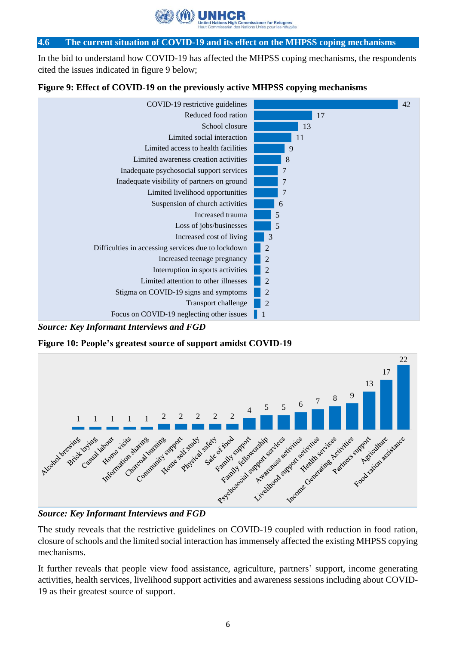er for Refug

#### <span id="page-8-0"></span>**4.6 The current situation of COVID-19 and its effect on the MHPSS coping mechanisms**

In the bid to understand how COVID-19 has affected the MHPSS coping mechanisms, the respondents cited the issues indicated in figure 9 below;

#### <span id="page-8-1"></span>**Figure 9: Effect of COVID-19 on the previously active MHPSS copying mechanisms**



*Source: Key Informant Interviews and FGD*

<span id="page-8-2"></span>**Figure 10: People's greatest source of support amidst COVID-19**



*Source: Key Informant Interviews and FGD*

The study reveals that the restrictive guidelines on COVID-19 coupled with reduction in food ration, closure of schools and the limited social interaction has immensely affected the existing MHPSS copying mechanisms.

It further reveals that people view food assistance, agriculture, partners' support, income generating activities, health services, livelihood support activities and awareness sessions including about COVID-19 as their greatest source of support.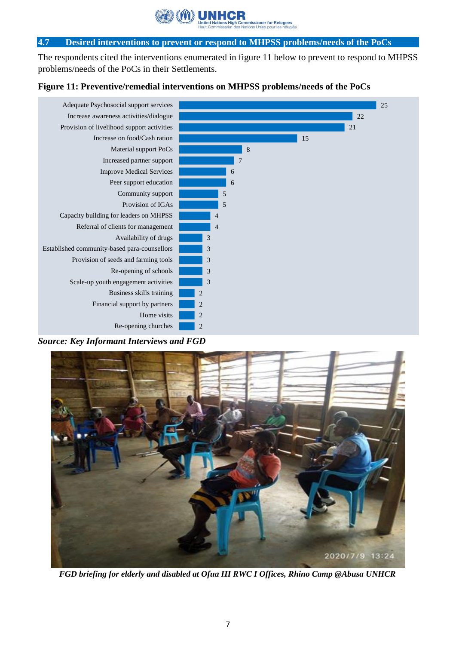r for Refu

#### <span id="page-9-0"></span>**4.7 Desired interventions to prevent or respond to MHPSS problems/needs of the PoCs**

The respondents cited the interventions enumerated in figure 11 below to prevent to respond to MHPSS problems/needs of the PoCs in their Settlements.

#### <span id="page-9-1"></span>**Figure 11: Preventive/remedial interventions on MHPSS problems/needs of the PoCs**



*Source: Key Informant Interviews and FGD*



**FGD** briefing for elderly and disabled at Ofua *III RWC I Offices, Rhino Camp* @Abusa UNHCR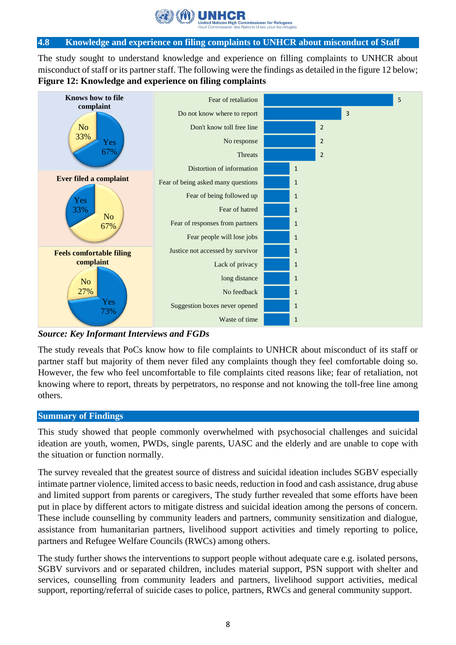

#### <span id="page-10-0"></span>**4.8 Knowledge and experience on filing complaints to UNHCR about misconduct of Staff**

The study sought to understand knowledge and experience on filling complaints to UNHCR about misconduct of staff or its partner staff. The following were the findings as detailed in the figure 12 below; **Figure 12: Knowledge and experience on filing complaints**

<span id="page-10-2"></span>

*Source: Key Informant Interviews and FGDs*

The study reveals that PoCs know how to file complaints to UNHCR about misconduct of its staff or partner staff but majority of them never filed any complaints though they feel comfortable doing so. However, the few who feel uncomfortable to file complaints cited reasons like; fear of retaliation, not knowing where to report, threats by perpetrators, no response and not knowing the toll-free line among others.

#### <span id="page-10-1"></span>**Summary of Findings**

This study showed that people commonly overwhelmed with psychosocial challenges and suicidal ideation are youth, women, PWDs, single parents, UASC and the elderly and are unable to cope with the situation or function normally.

The survey revealed that the greatest source of distress and suicidal ideation includes SGBV especially intimate partner violence, limited access to basic needs, reduction in food and cash assistance, drug abuse and limited support from parents or caregivers, The study further revealed that some efforts have been put in place by different actors to mitigate distress and suicidal ideation among the persons of concern. These include counselling by community leaders and partners, community sensitization and dialogue, assistance from humanitarian partners, livelihood support activities and timely reporting to police, partners and Refugee Welfare Councils (RWCs) among others.

The study further shows the interventions to support people without adequate care e.g. isolated persons, SGBV survivors and or separated children, includes material support, PSN support with shelter and services, counselling from community leaders and partners, livelihood support activities, medical support, reporting/referral of suicide cases to police, partners, RWCs and general community support.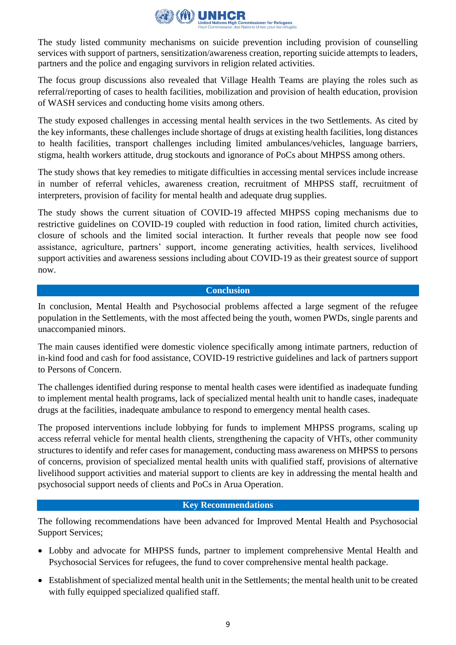

The study listed community mechanisms on suicide prevention including provision of counselling services with support of partners, sensitization/awareness creation, reporting suicide attempts to leaders, partners and the police and engaging survivors in religion related activities.

The focus group discussions also revealed that Village Health Teams are playing the roles such as referral/reporting of cases to health facilities, mobilization and provision of health education, provision of WASH services and conducting home visits among others.

The study exposed challenges in accessing mental health services in the two Settlements. As cited by the key informants, these challenges include shortage of drugs at existing health facilities, long distances to health facilities, transport challenges including limited ambulances/vehicles, language barriers, stigma, health workers attitude, drug stockouts and ignorance of PoCs about MHPSS among others.

The study shows that key remedies to mitigate difficulties in accessing mental services include increase in number of referral vehicles, awareness creation, recruitment of MHPSS staff, recruitment of interpreters, provision of facility for mental health and adequate drug supplies.

The study shows the current situation of COVID-19 affected MHPSS coping mechanisms due to restrictive guidelines on COVID-19 coupled with reduction in food ration, limited church activities, closure of schools and the limited social interaction. It further reveals that people now see food assistance, agriculture, partners' support, income generating activities, health services, livelihood support activities and awareness sessions including about COVID-19 as their greatest source of support now.

#### **Conclusion**

<span id="page-11-0"></span>In conclusion, Mental Health and Psychosocial problems affected a large segment of the refugee population in the Settlements, with the most affected being the youth, women PWDs, single parents and unaccompanied minors.

The main causes identified were domestic violence specifically among intimate partners, reduction of in-kind food and cash for food assistance, COVID-19 restrictive guidelines and lack of partners support to Persons of Concern.

The challenges identified during response to mental health cases were identified as inadequate funding to implement mental health programs, lack of specialized mental health unit to handle cases, inadequate drugs at the facilities, inadequate ambulance to respond to emergency mental health cases.

The proposed interventions include lobbying for funds to implement MHPSS programs, scaling up access referral vehicle for mental health clients, strengthening the capacity of VHTs, other community structures to identify and refer cases for management, conducting mass awareness on MHPSS to persons of concerns, provision of specialized mental health units with qualified staff, provisions of alternative livelihood support activities and material support to clients are key in addressing the mental health and psychosocial support needs of clients and PoCs in Arua Operation.

#### **Key Recommendations**

<span id="page-11-1"></span>The following recommendations have been advanced for Improved Mental Health and Psychosocial Support Services;

- Lobby and advocate for MHPSS funds, partner to implement comprehensive Mental Health and Psychosocial Services for refugees, the fund to cover comprehensive mental health package.
- Establishment of specialized mental health unit in the Settlements; the mental health unit to be created with fully equipped specialized qualified staff.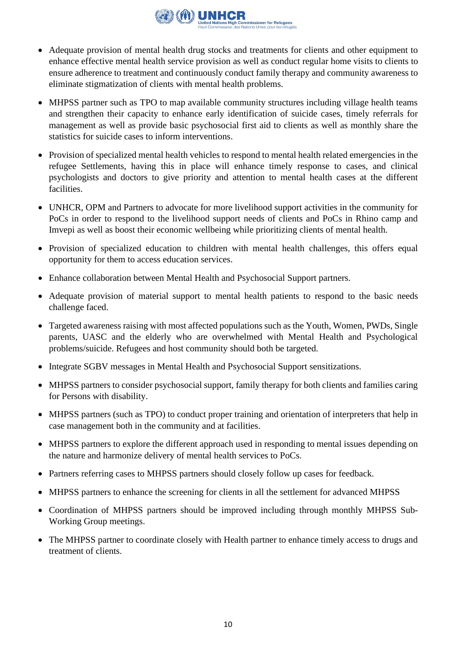

- Adequate provision of mental health drug stocks and treatments for clients and other equipment to enhance effective mental health service provision as well as conduct regular home visits to clients to ensure adherence to treatment and continuously conduct family therapy and community awareness to eliminate stigmatization of clients with mental health problems.
- MHPSS partner such as TPO to map available community structures including village health teams and strengthen their capacity to enhance early identification of suicide cases, timely referrals for management as well as provide basic psychosocial first aid to clients as well as monthly share the statistics for suicide cases to inform interventions.
- Provision of specialized mental health vehicles to respond to mental health related emergencies in the refugee Settlements, having this in place will enhance timely response to cases, and clinical psychologists and doctors to give priority and attention to mental health cases at the different facilities.
- UNHCR, OPM and Partners to advocate for more livelihood support activities in the community for PoCs in order to respond to the livelihood support needs of clients and PoCs in Rhino camp and Imvepi as well as boost their economic wellbeing while prioritizing clients of mental health.
- Provision of specialized education to children with mental health challenges, this offers equal opportunity for them to access education services.
- Enhance collaboration between Mental Health and Psychosocial Support partners.
- Adequate provision of material support to mental health patients to respond to the basic needs challenge faced.
- Targeted awareness raising with most affected populations such as the Youth, Women, PWDs, Single parents, UASC and the elderly who are overwhelmed with Mental Health and Psychological problems/suicide. Refugees and host community should both be targeted.
- Integrate SGBV messages in Mental Health and Psychosocial Support sensitizations.
- MHPSS partners to consider psychosocial support, family therapy for both clients and families caring for Persons with disability.
- MHPSS partners (such as TPO) to conduct proper training and orientation of interpreters that help in case management both in the community and at facilities.
- MHPSS partners to explore the different approach used in responding to mental issues depending on the nature and harmonize delivery of mental health services to PoCs.
- Partners referring cases to MHPSS partners should closely follow up cases for feedback.
- MHPSS partners to enhance the screening for clients in all the settlement for advanced MHPSS
- Coordination of MHPSS partners should be improved including through monthly MHPSS Sub-Working Group meetings.
- The MHPSS partner to coordinate closely with Health partner to enhance timely access to drugs and treatment of clients.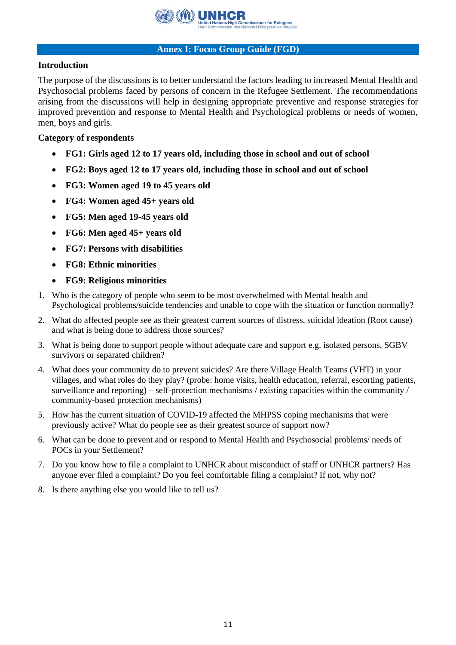

#### **Annex I: Focus Group Guide (FGD)**

#### <span id="page-13-0"></span>**Introduction**

The purpose of the discussions is to better understand the factors leading to increased Mental Health and Psychosocial problems faced by persons of concern in the Refugee Settlement. The recommendations arising from the discussions will help in designing appropriate preventive and response strategies for improved prevention and response to Mental Health and Psychological problems or needs of women, men, boys and girls.

#### **Category of respondents**

- **FG1: Girls aged 12 to 17 years old, including those in school and out of school**
- **FG2: Boys aged 12 to 17 years old, including those in school and out of school**
- **FG3: Women aged 19 to 45 years old**
- **FG4: Women aged 45+ years old**
- **FG5: Men aged 19-45 years old**
- **FG6: Men aged 45+ years old**
- **FG7: Persons with disabilities**
- **FG8: Ethnic minorities**
- **FG9: Religious minorities**
- 1. Who is the category of people who seem to be most overwhelmed with Mental health and Psychological problems/suicide tendencies and unable to cope with the situation or function normally?
- 2. What do affected people see as their greatest current sources of distress, suicidal ideation (Root cause) and what is being done to address those sources?
- 3. What is being done to support people without adequate care and support e.g. isolated persons, SGBV survivors or separated children?
- 4. What does your community do to prevent suicides? Are there Village Health Teams (VHT) in your villages, and what roles do they play? (probe: home visits, health education, referral, escorting patients, surveillance and reporting) – self-protection mechanisms / existing capacities within the community / community-based protection mechanisms)
- 5. How has the current situation of COVID-19 affected the MHPSS coping mechanisms that were previously active? What do people see as their greatest source of support now?
- 6. What can be done to prevent and or respond to Mental Health and Psychosocial problems/ needs of POCs in your Settlement?
- 7. Do you know how to file a complaint to UNHCR about misconduct of staff or UNHCR partners? Has anyone ever filed a complaint? Do you feel comfortable filing a complaint? If not, why not?
- 8. Is there anything else you would like to tell us?